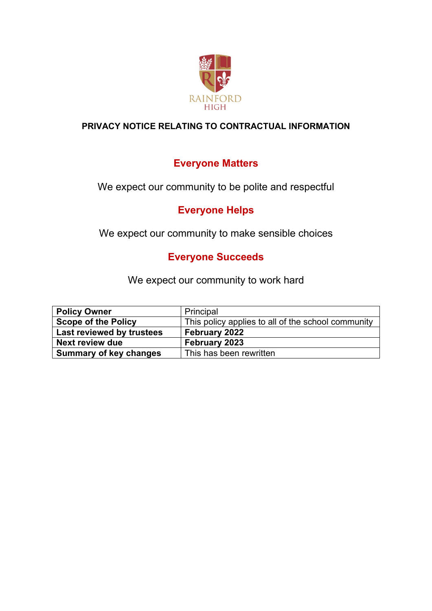

## **PRIVACY NOTICE RELATING TO CONTRACTUAL INFORMATION**

# **Everyone Matters**

We expect our community to be polite and respectful

# **Everyone Helps**

We expect our community to make sensible choices

# **Everyone Succeeds**

We expect our community to work hard

| <b>Policy Owner</b>           | Principal                                          |
|-------------------------------|----------------------------------------------------|
| <b>Scope of the Policy</b>    | This policy applies to all of the school community |
| Last reviewed by trustees     | February 2022                                      |
| Next review due               | February 2023                                      |
| <b>Summary of key changes</b> | This has been rewritten                            |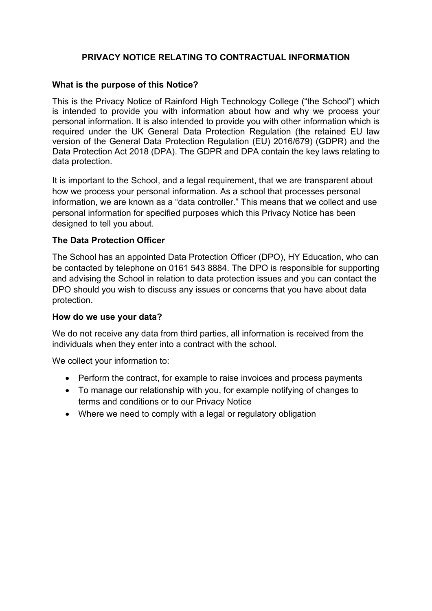## **PRIVACY NOTICE RELATING TO CONTRACTUAL INFORMATION**

#### **What is the purpose of this Notice?**

This is the Privacy Notice of Rainford High Technology College ("the School") which is intended to provide you with information about how and why we process your personal information. It is also intended to provide you with other information which is required under the UK General Data Protection Regulation (the retained EU law version of the General Data Protection Regulation (EU) 2016/679) (GDPR) and the Data Protection Act 2018 (DPA). The GDPR and DPA contain the key laws relating to data protection.

It is important to the School, and a legal requirement, that we are transparent about how we process your personal information. As a school that processes personal information, we are known as a "data controller." This means that we collect and use personal information for specified purposes which this Privacy Notice has been designed to tell you about.

### **The Data Protection Officer**

The School has an appointed Data Protection Officer (DPO), HY Education, who can be contacted by telephone on 0161 543 8884. The DPO is responsible for supporting and advising the School in relation to data protection issues and you can contact the DPO should you wish to discuss any issues or concerns that you have about data protection.

#### **How do we use your data?**

We do not receive any data from third parties, all information is received from the individuals when they enter into a contract with the school.

We collect your information to:

- Perform the contract, for example to raise invoices and process payments
- To manage our relationship with you, for example notifying of changes to terms and conditions or to our Privacy Notice
- Where we need to comply with a legal or regulatory obligation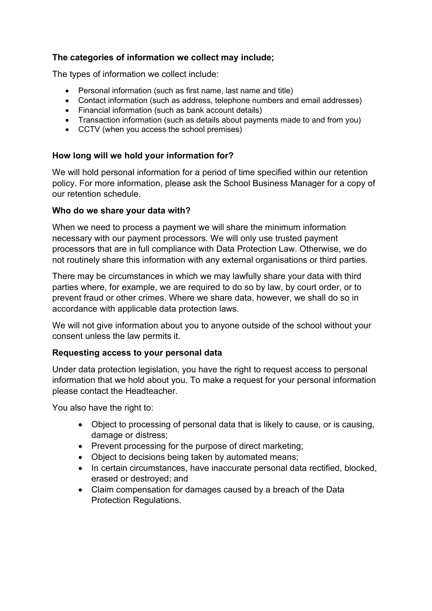## **The categories of information we collect may include;**

The types of information we collect include:

- Personal information (such as first name, last name and title)
- Contact information (such as address, telephone numbers and email addresses)
- Financial information (such as bank account details)
- Transaction information (such as details about payments made to and from you)
- CCTV (when you access the school premises)

### **How long will we hold your information for?**

We will hold personal information for a period of time specified within our retention policy. For more information, please ask the School Business Manager for a copy of our retention schedule.

### **Who do we share your data with?**

When we need to process a payment we will share the minimum information necessary with our payment processors. We will only use trusted payment processors that are in full compliance with Data Protection Law. Otherwise, we do not routinely share this information with any external organisations or third parties.

There may be circumstances in which we may lawfully share your data with third parties where, for example, we are required to do so by law, by court order, or to prevent fraud or other crimes. Where we share data, however, we shall do so in accordance with applicable data protection laws.

We will not give information about you to anyone outside of the school without your consent unless the law permits it.

### **Requesting access to your personal data**

Under data protection legislation, you have the right to request access to personal information that we hold about you. To make a request for your personal information please contact the Headteacher.

You also have the right to:

- Object to processing of personal data that is likely to cause, or is causing, damage or distress;
- Prevent processing for the purpose of direct marketing;
- Object to decisions being taken by automated means;
- In certain circumstances, have inaccurate personal data rectified, blocked, erased or destroyed; and
- Claim compensation for damages caused by a breach of the Data Protection Regulations.